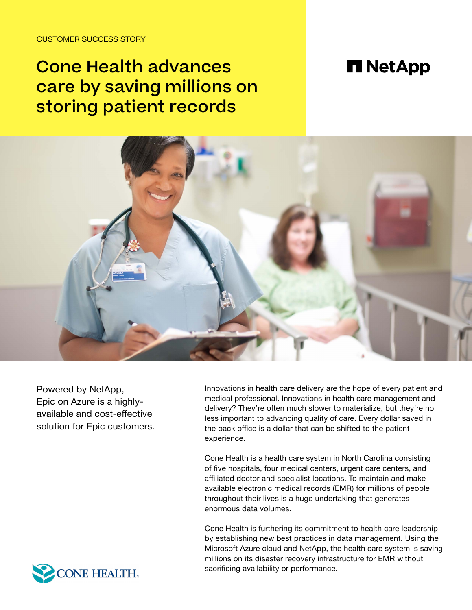CUSTOMER SUCCESS STORY

# Cone Health advances care by saving millions on storing patient records

## **n** NetApp



Powered by NetApp, Epic on Azure is a highlyavailable and cost-effective solution for Epic customers. Innovations in health care delivery are the hope of every patient and medical professional. Innovations in health care management and delivery? They're often much slower to materialize, but they're no less important to advancing quality of care. Every dollar saved in the back office is a dollar that can be shifted to the patient experience.

Cone Health is a health care system in North Carolina consisting of five hospitals, four medical centers, urgent care centers, and affiliated doctor and specialist locations. To maintain and make available electronic medical records (EMR) for millions of people throughout their lives is a huge undertaking that generates enormous data volumes.

Cone Health is furthering its commitment to health care leadership by establishing new best practices in data management. Using the Microsoft Azure cloud and NetApp, the health care system is saving millions on its disaster recovery infrastructure for EMR without sacrificing availability or performance.

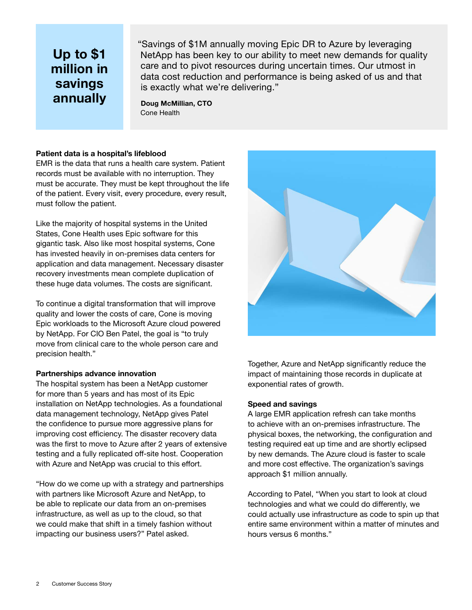### **Up to \$1 million in savings annually**

"Savings of \$1M annually moving Epic DR to Azure by leveraging NetApp has been key to our ability to meet new demands for quality care and to pivot resources during uncertain times. Our utmost in data cost reduction and performance is being asked of us and that is exactly what we're delivering."

**Doug McMillian, CTO** Cone Health

### **Patient data is a hospital's lifeblood**

EMR is the data that runs a health care system. Patient records must be available with no interruption. They must be accurate. They must be kept throughout the life of the patient. Every visit, every procedure, every result, must follow the patient.

Like the majority of hospital systems in the United States, Cone Health uses Epic software for this gigantic task. Also like most hospital systems, Cone has invested heavily in on-premises data centers for application and data management. Necessary disaster recovery investments mean complete duplication of these huge data volumes. The costs are significant.

To continue a digital transformation that will improve quality and lower the costs of care, Cone is moving Epic workloads to the Microsoft Azure cloud powered by NetApp. For CIO Ben Patel, the goal is "to truly move from clinical care to the whole person care and precision health."

### **Partnerships advance innovation**

The hospital system has been a NetApp customer for more than 5 years and has most of its Epic installation on NetApp technologies. As a foundational data management technology, NetApp gives Patel the confidence to pursue more aggressive plans for improving cost efficiency. The disaster recovery data was the first to move to Azure after 2 years of extensive testing and a fully replicated off-site host. Cooperation with Azure and NetApp was crucial to this effort.

"How do we come up with a strategy and partnerships with partners like Microsoft Azure and NetApp, to be able to replicate our data from an on-premises infrastructure, as well as up to the cloud, so that we could make that shift in a timely fashion without impacting our business users?" Patel asked.



Together, Azure and NetApp significantly reduce the impact of maintaining those records in duplicate at exponential rates of growth.

#### **Speed and savings**

A large EMR application refresh can take months to achieve with an on-premises infrastructure. The physical boxes, the networking, the configuration and testing required eat up time and are shortly eclipsed by new demands. The Azure cloud is faster to scale and more cost effective. The organization's savings approach \$1 million annually.

According to Patel, "When you start to look at cloud technologies and what we could do differently, we could actually use infrastructure as code to spin up that entire same environment within a matter of minutes and hours versus 6 months."